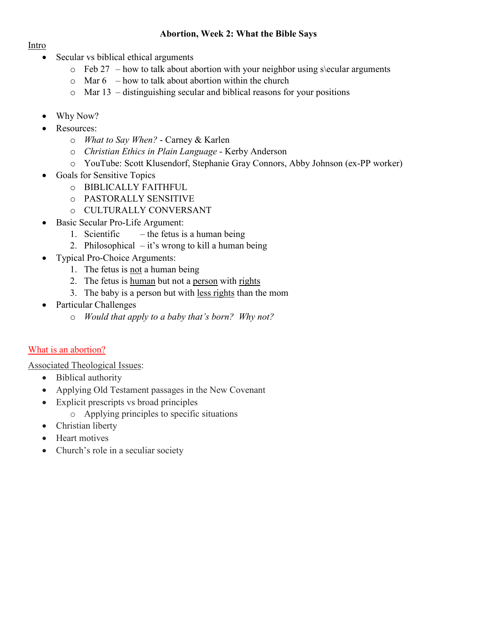#### **Abortion, Week 2: What the Bible Says**

#### Intro

- Secular vs biblical ethical arguments
	- $\circ$  Feb 27 how to talk about abortion with your neighbor using s\ecular arguments
	- $\circ$  Mar 6 how to talk about abortion within the church
	- $\circ$  Mar 13 distinguishing secular and biblical reasons for your positions
- Why Now?
- Resources:
	- o *What to Say When?*  Carney & Karlen
	- o *Christian Ethics in Plain Language* Kerby Anderson
	- o YouTube: Scott Klusendorf, Stephanie Gray Connors, Abby Johnson (ex-PP worker)
- Goals for Sensitive Topics
	- o BIBLICALLY FAITHFUL
	- o PASTORALLY SENSITIVE
	- o CULTURALLY CONVERSANT
- Basic Secular Pro-Life Argument:
	- 1. Scientific  $-$  the fetus is a human being
	- 2. Philosophical  $-$  it's wrong to kill a human being
- Typical Pro-Choice Arguments:
	- 1. The fetus is not a human being
	- 2. The fetus is human but not a person with rights
	- 3. The baby is a person but with less rights than the mom
- Particular Challenges
	- o *Would that apply to a baby that's born? Why not?*

## What is an abortion?

Associated Theological Issues:

- Biblical authority
- Applying Old Testament passages in the New Covenant
- Explicit prescripts vs broad principles
	- o Applying principles to specific situations
- Christian liberty
- Heart motives
- Church's role in a seculiar society